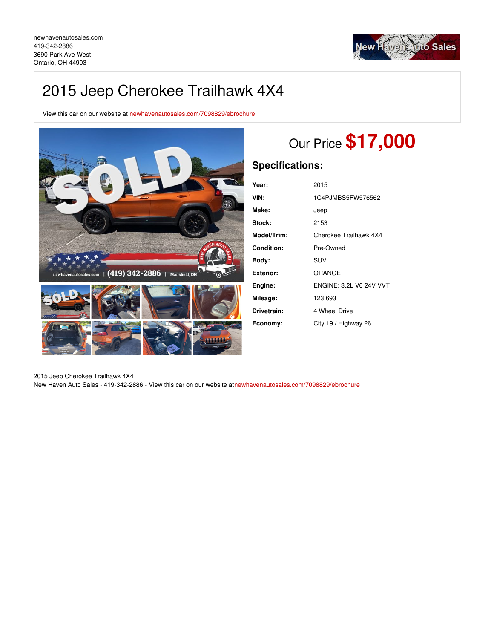

## 2015 Jeep Cherokee Trailhawk 4X4

View this car on our website at [newhavenautosales.com/7098829/ebrochure](https://newhavenautosales.com/vehicle/7098829/2015-jeep-cherokee-trailhawk-4x4-ontario-oh-44903/7098829/ebrochure)



# Our Price **\$17,000**

## **Specifications:**

| Year:       | 2015                           |
|-------------|--------------------------------|
| VIN:        | 1C4PJMBS5FW576562              |
| Make:       | Jeep                           |
| Stock:      | 2153                           |
| Model/Trim: | Cherokee Trailhawk 4X4         |
| Condition:  | Pre-Owned                      |
| Bodv:       | SUV                            |
| Exterior:   | ORANGE                         |
| Engine:     | <b>ENGINE: 3.2L V6 24V VVT</b> |
| Mileage:    | 123,693                        |
| Drivetrain: | 4 Wheel Drive                  |
| Economy:    | City 19 / Highway 26           |

2015 Jeep Cherokee Trailhawk 4X4 New Haven Auto Sales - 419-342-2886 - View this car on our website a[tnewhavenautosales.com/7098829/ebrochure](https://newhavenautosales.com/vehicle/7098829/2015-jeep-cherokee-trailhawk-4x4-ontario-oh-44903/7098829/ebrochure)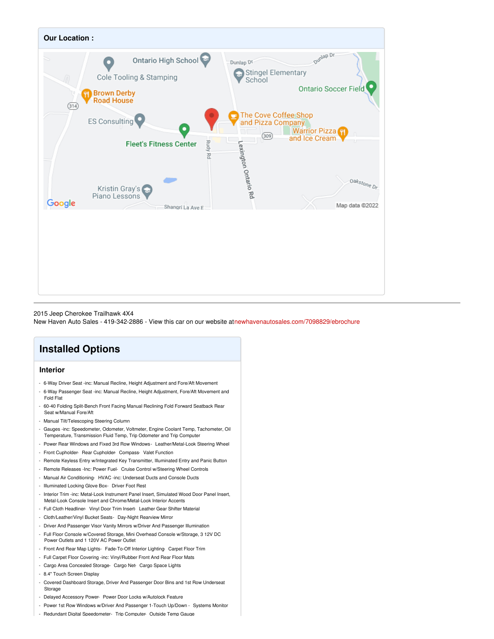

### 2015 Jeep Cherokee Trailhawk 4X4

New Haven Auto Sales - 419-342-2886 - View this car on our website a[tnewhavenautosales.com/7098829/ebrochure](https://newhavenautosales.com/vehicle/7098829/2015-jeep-cherokee-trailhawk-4x4-ontario-oh-44903/7098829/ebrochure)

## **Installed Options**

## **Interior**

- 6-Way Driver Seat -inc: Manual Recline, Height Adjustment and Fore/Aft Movement
- 6-Way Passenger Seat -inc: Manual Recline, Height Adjustment, Fore/Aft Movement and Fold Flat
- 60-40 Folding Split-Bench Front Facing Manual Reclining Fold Forward Seatback Rear Seat w/Manual Fore/Aft
- Manual Tilt/Telescoping Steering Column
- Gauges -inc: Speedometer, Odometer, Voltmeter, Engine Coolant Temp, Tachometer, Oil Temperature, Transmission Fluid Temp, Trip Odometer and Trip Computer
- Power Rear Windows and Fixed 3rd Row Windows- Leather/Metal-Look Steering Wheel
- Front Cupholder- Rear Cupholder- Compass- Valet Function
- Remote Keyless Entry w/Integrated Key Transmitter, Illuminated Entry and Panic Button
- Remote Releases -Inc: Power Fuel- Cruise Control w/Steering Wheel Controls
- Manual Air Conditioning- HVAC -inc: Underseat Ducts and Console Ducts
- Illuminated Locking Glove Box- Driver Foot Rest
- Interior Trim -inc: Metal-Look Instrument Panel Insert, Simulated Wood Door Panel Insert, Metal-Look Console Insert and Chrome/Metal-Look Interior Accents
- Full Cloth Headliner- Vinyl Door Trim Insert- Leather Gear Shifter Material
- Cloth/Leather/Vinyl Bucket Seats- Day-Night Rearview Mirror
- Driver And Passenger Visor Vanity Mirrors w/Driver And Passenger Illumination
- Full Floor Console w/Covered Storage, Mini Overhead Console w/Storage, 3 12V DC Power Outlets and 1 120V AC Power Outlet
- Front And Rear Map Lights- Fade-To-Off Interior Lighting- Carpet Floor Trim
- Full Carpet Floor Covering -inc: Vinyl/Rubber Front And Rear Floor Mats
- Cargo Area Concealed Storage- Cargo Net- Cargo Space Lights
- 8.4" Touch Screen Display
- Covered Dashboard Storage, Driver And Passenger Door Bins and 1st Row Underseat **Storage**
- Delayed Accessory Power- Power Door Locks w/Autolock Feature
- Power 1st Row Windows w/Driver And Passenger 1-Touch Up/Down Systems Monitor
- Redundant Digital Speedometer- Trip Computer- Outside Temp Gauge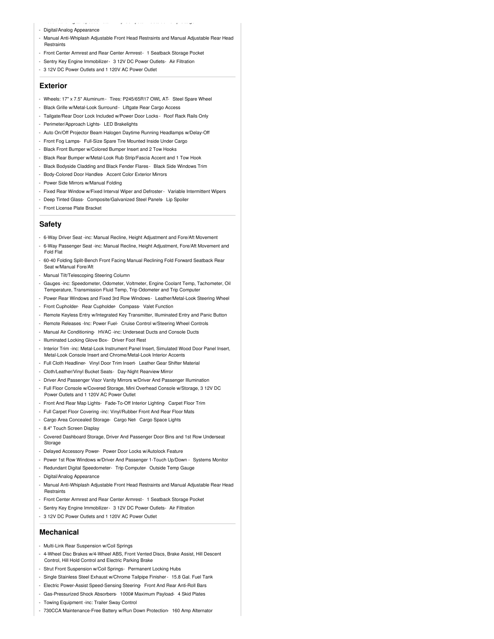- Redundant Digital Speedometer- Trip Computer- Outside Temp Gauge
- Digital/Analog Appearance
- Manual Anti-Whiplash Adjustable Front Head Restraints and Manual Adjustable Rear Head **Restraints**
- Front Center Armrest and Rear Center Armrest- 1 Seatback Storage Pocket
- Sentry Key Engine Immobilizer- 3 12V DC Power Outlets- Air Filtration
- 3 12V DC Power Outlets and 1 120V AC Power Outlet

### **Exterior**

- Wheels: 17" x 7.5" Aluminum Tires: P245/65R17 OWL AT- Steel Spare Wheel
- Black Grille w/Metal-Look Surround- Liftgate Rear Cargo Access
- Tailgate/Rear Door Lock Included w/Power Door Locks Roof Rack Rails Only
- Perimeter/Approach Lights- LED Brakelights
- Auto On/Off Projector Beam Halogen Daytime Running Headlamps w/Delay-Off
- Front Fog Lamps- Full-Size Spare Tire Mounted Inside Under Cargo
- Black Front Bumper w/Colored Bumper Insert and 2 Tow Hooks
- Black Rear Bumper w/Metal-Look Rub Strip/Fascia Accent and 1 Tow Hook
- Black Bodyside Cladding and Black Fender Flares Black Side Windows Trim
- Body-Colored Door Handles- Accent Color Exterior Mirrors
- Power Side Mirrors w/Manual Folding
- Fixed Rear Window w/Fixed Interval Wiper and Defroster- Variable Intermittent Wipers
- Deep Tinted Glass- Composite/Galvanized Steel Panels- Lip Spoiler
- Front License Plate Bracket

### **Safety**

- 6-Way Driver Seat -inc: Manual Recline, Height Adjustment and Fore/Aft Movement
- 6-Way Passenger Seat -inc: Manual Recline, Height Adjustment, Fore/Aft Movement and Fold Flat
- 60-40 Folding Split-Bench Front Facing Manual Reclining Fold Forward Seatback Rear Seat w/Manual Fore/Aft
- Manual Tilt/Telescoping Steering Column
- Gauges -inc: Speedometer, Odometer, Voltmeter, Engine Coolant Temp, Tachometer, Oil Temperature, Transmission Fluid Temp, Trip Odometer and Trip Computer
- Power Rear Windows and Fixed 3rd Row Windows- Leather/Metal-Look Steering Wheel
- Front Cupholder- Rear Cupholder- Compass- Valet Function
- Remote Keyless Entry w/Integrated Key Transmitter, Illuminated Entry and Panic Button
- Remote Releases -Inc: Power Fuel- Cruise Control w/Steering Wheel Controls
- Manual Air Conditioning- HVAC -inc: Underseat Ducts and Console Ducts
- Illuminated Locking Glove Box- Driver Foot Rest
- Interior Trim -inc: Metal-Look Instrument Panel Insert, Simulated Wood Door Panel Insert, Metal-Look Console Insert and Chrome/Metal-Look Interior Accents
- Full Cloth Headliner- Vinyl Door Trim Insert- Leather Gear Shifter Material
- Cloth/Leather/Vinyl Bucket Seats- Day-Night Rearview Mirror
- Driver And Passenger Visor Vanity Mirrors w/Driver And Passenger Illumination
- Full Floor Console w/Covered Storage, Mini Overhead Console w/Storage, 3 12V DC Power Outlets and 1 120V AC Power Outlet
- Front And Rear Map Lights- Fade-To-Off Interior Lighting- Carpet Floor Trim
- Full Carpet Floor Covering -inc: Vinyl/Rubber Front And Rear Floor Mats
- Cargo Area Concealed Storage- Cargo Net- Cargo Space Lights
- 8.4" Touch Screen Display
- Covered Dashboard Storage, Driver And Passenger Door Bins and 1st Row Underseat Storage
- Delayed Accessory Power- Power Door Locks w/Autolock Feature
- Power 1st Row Windows w/Driver And Passenger 1-Touch Up/Down Systems Monitor
- Redundant Digital Speedometer- Trip Computer- Outside Temp Gauge
- Digital/Analog Appearance
- Manual Anti-Whiplash Adjustable Front Head Restraints and Manual Adjustable Rear Head **Restraints**
- Front Center Armrest and Rear Center Armrest- 1 Seatback Storage Pocket
- Sentry Key Engine Immobilizer- 3 12V DC Power Outlets- Air Filtration
- 3 12V DC Power Outlets and 1 120V AC Power Outlet
- **Mechanical**
- Multi-Link Rear Suspension w/Coil Springs
- 4-Wheel Disc Brakes w/4-Wheel ABS, Front Vented Discs, Brake Assist, Hill Descent Control, Hill Hold Control and Electric Parking Brake
- Strut Front Suspension w/Coil Springs- Permanent Locking Hubs
- Single Stainless Steel Exhaust w/Chrome Tailpipe Finisher- 15.8 Gal. Fuel Tank
- Electric Power-Assist Speed-Sensing Steering- Front And Rear Anti-Roll Bars
- Gas-Pressurized Shock Absorbers- 1000# Maximum Payload- 4 Skid Plates
- Towing Equipment -inc: Trailer Sway Control
- 730CCA Maintenance-Free Battery w/Run Down Protection- 160 Amp Alternator